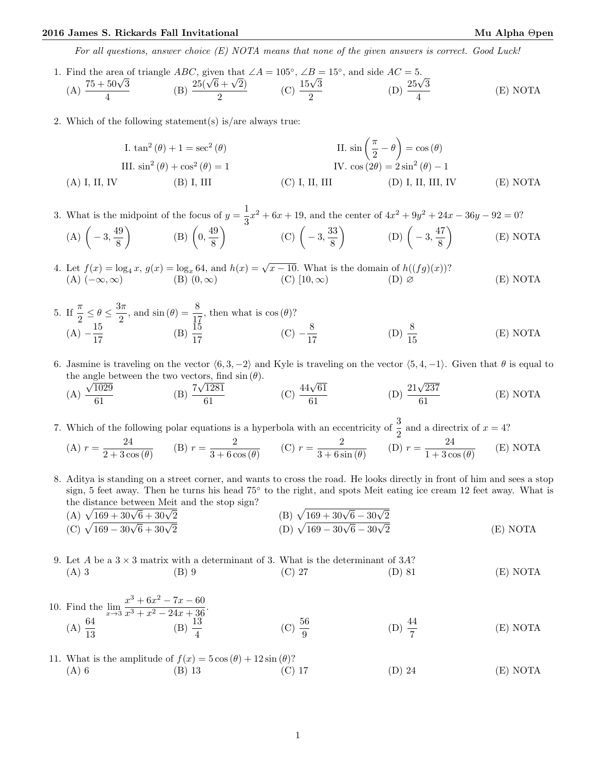## 2016 James S. Rickards Fall Invitational Mu Alpha Θpen Mu Alpha Θpen

For all questions, answer choice  $(E)$  NOTA means that none of the given answers is correct. Good Luck!

- 1. Find the area of triangle ABC, given that  $\angle A = 105^\circ$ ,  $\angle B = 15^\circ$ , and side  $AC = 5$ . Find the area of  $(A)$   $\frac{75 + 50\sqrt{3}}{4}$ 4  $\angle ABC$ , given that<br>(B)  $\frac{25(\sqrt{6} + \sqrt{2})}{2}$  $\frac{3 + \sqrt{2}}{2}$  (C)  $\frac{15\sqrt{3}}{2}$ 2  $AC = 5.$ <br>(D)  $\frac{25\sqrt{3}}{4}$ 4 (E) NOTA
- 2. Which of the following statement(s) is/are always true:

I. 
$$
\tan^2(\theta) + 1 = \sec^2(\theta)
$$
  
\nII.  $\sin\left(\frac{\pi}{2} - \theta\right) = \cos(\theta)$   
\nIII.  $\sin^2(\theta) + \cos^2(\theta) = 1$   
\n(I.  $\sin^2(\theta) + \cos^2(\theta) = 1$   
\n(II.  $\sin^2(\theta) + \cos^2(\theta) = 1$   
\n(III.  $\sin^2(\theta) + \cos^2(\theta) = 1$   
\n(III.  $\sin^2(\theta) + \cos^2(\theta) = 1$   
\n(III.  $\sin^2(\theta) + \cos^2(\theta) = 1$   
\n(III.  $\sin^2(\theta) + \cos^2(\theta) = 1$   
\n(IV.  $\cos(2\theta) = 2\sin^2(\theta) - 1$   
\n(IV.  $\tan(2\theta) + \tan(2\theta) = 1$   
\n(IV.  $\tan(2\theta) + \tan(2\theta) = 1$   
\n(IV.  $\tan(2\theta) + \tan(2\theta) = 1$   
\n(IV.  $\tan(2\theta) + \tan(2\theta) = 1$   
\n(IV.  $\tan(2\theta) + \tan(2\theta) = 1$ 

3. What is the midpoint of the focus of  $y=\frac{1}{2}$  $\frac{1}{3}x^2 + 6x + 19$ , and the center of  $4x^2 + 9y^2 + 24x - 36y - 92 = 0$ ?

(A) 
$$
\left(-3, \frac{49}{8}\right)
$$
 \t(B)  $\left(0, \frac{49}{8}\right)$  \t(C)  $\left(-3, \frac{33}{8}\right)$  \t(D)  $\left(-3, \frac{47}{8}\right)$  \t(E) NOTA

4. Let  $f(x) = \log_4 x$ ,  $g(x) = \log_x 64$ , and  $h(x) = \sqrt{x-10}$ . What is the domain of  $h((fg)(x))$ ? (A)  $(-\infty, \infty)$  (B)  $(0, \infty)$  (C)  $[10, \infty)$  (D) ∅ (E) NOTA

- 5. If  $\frac{\pi}{2} \leq \theta \leq \frac{3\pi}{2}$  $\frac{3\pi}{2}$ , and  $\sin(\theta) = \frac{8}{17}$ , then what is  $\cos(\theta)$ ?  $(A) - \frac{15}{15}$  $\frac{15}{17}$  (B)  $\frac{15}{17}$  (C)  $-\frac{8}{17}$ 17 (D)  $\frac{8}{15}$ (E) NOTA
- 6. Jasmine is traveling on the vector  $(6, 3, -2)$  and Kyle is traveling on the vector  $(5, 4, -1)$ . Given that  $\theta$  is equal to the angle between the two vectors, find  $\sin (\theta)$ .

\n (A) 
$$
\frac{\sqrt{1029}}{61}
$$
    \n (B)  $\frac{7\sqrt{1281}}{61}$     \n (C)  $\frac{44\sqrt{61}}{61}$     \n (D)  $\frac{21\sqrt{237}}{61}$     \n (E) NOTA\n

7. Which of the following polar equations is a hyperbola with an eccentricity of  $\frac{3}{2}$  and a directrix of  $x = 4$ ?  $24$ 

(A) 
$$
r = \frac{24}{2 + 3\cos(\theta)}
$$
 (B)  $r = \frac{2}{3 + 6\cos(\theta)}$  (C)  $r = \frac{2}{3 + 6\sin(\theta)}$  (D)  $r = \frac{24}{1 + 3\cos(\theta)}$  (E) NOTA

8. Aditya is standing on a street corner, and wants to cross the road. He looks directly in front of him and sees a stop sign, 5 feet away. Then he turns his head 75° to the right, and spots Meit eating ice cream 12 feet away. What is

the distance between Meit and the stop sign?  
\n(A) 
$$
\sqrt{169 + 30\sqrt{6} + 30\sqrt{2}}
$$
  
\n(B)  $\sqrt{169 + 30\sqrt{6} - 30\sqrt{2}}$   
\n(C)  $\sqrt{169 - 30\sqrt{6} + 30\sqrt{2}}$   
\n(D)  $\sqrt{169 - 30\sqrt{6} - 30\sqrt{2}}$   
\n(E) NOTA

9. Let A be a  $3 \times 3$  matrix with a determinant of 3. What is the determinant of  $3A$ ? (A) 3 (B) 9 (C) 27 (D) 81 (E) NOTA

10. Find the 
$$
\lim_{x \to 3} \frac{x^3 + 6x^2 - 7x - 60}{x^3 + x^2 - 24x + 36}
$$
.  
\n(A)  $\frac{64}{13}$  \n(B)  $\frac{13}{4}$  \n(C)  $\frac{56}{9}$  \n(D)  $\frac{44}{7}$  \n(E) NOTA

11. What is the amplitude of  $f(x) = 5 \cos(\theta) + 12 \sin(\theta)$ ? (A) 6 (B) 13 (C) 17 (D) 24 (E) NOTA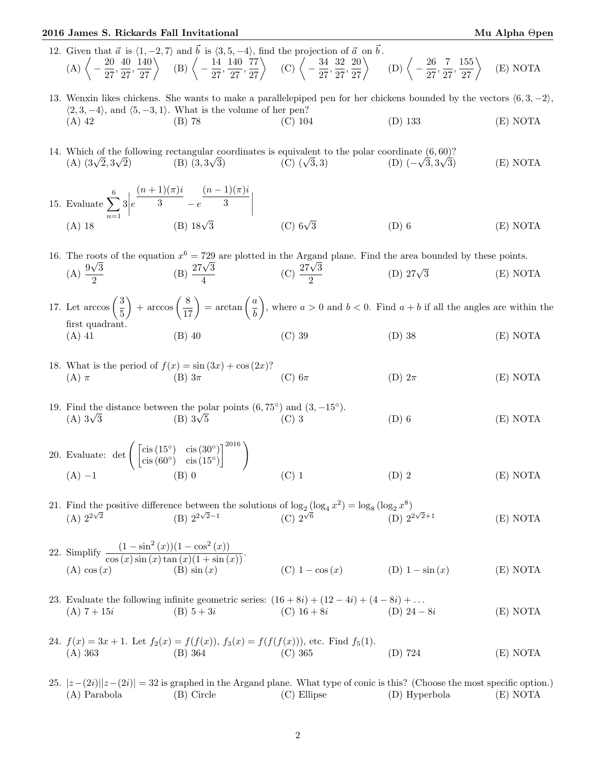## 2016 James S. Rickards Fall Invitational Mu Alpha Θpen

- 12. Given that  $\vec{a}$  is  $\langle 1, -2, 7 \rangle$  and  $\vec{b}$  is  $\langle 3, 5, -4 \rangle$ , find the projection of  $\vec{a}$  on  $\vec{b}$ .  $(A) \left\langle -\frac{20}{27} \right\rangle$  $\frac{20}{27}, \frac{40}{27}$  $\left\langle \frac{40}{27}, \frac{140}{27} \right\rangle$  (B)  $\left\langle -\frac{14}{27} \right\rangle$  $\frac{14}{27}, \frac{140}{27}$  $rac{140}{27}, \frac{77}{27}$  (C)  $\bigg\langle -\frac{34}{27}$  $\frac{34}{27}, \frac{32}{27}$  $rac{32}{27}, \frac{20}{27}$  (D)  $\bigg\langle -\frac{26}{27}$  $rac{26}{27}, \frac{7}{27}$  $\left\langle \frac{7}{27},\frac{155}{27} \right\rangle$ (E) NOTA
- 13. Wenxin likes chickens. She wants to make a parallelepiped pen for her chickens bounded by the vectors  $(6, 3, -2)$ ,  $\langle 2, 3, -4 \rangle$ , and  $\langle 5, -3, 1 \rangle$ . What is the volume of her pen? (A) 42 (B) 78 (C) 104 (D) 133 (E) NOTA
- 14. Which of the following rectangular coordinates is equivalent to the polar coordinate  $(6, 60)$ ?<br>
(A)  $(3\sqrt{2}, 3\sqrt{2})$  (B)  $(3, 3\sqrt{3})$  (C)  $(\sqrt{3}, 3)$  (D)  $(-\sqrt{3}, 3\sqrt{3})$ which of the  $(A)$   $(3\sqrt{2}, 3)$ (B)  $(3, 3\sqrt{3})$ 3, 3) (D)  $(-\sqrt{3}, 3)$ 3) (E) NOTA
- 15. Evaluate  $\sum_{n=1}^6$  $n=1$  $\left|3\right|$ e  $(n+1)(\pi)i$ 3  $-e$  $(n-1)(\pi)i$ Evaluate  $\sum_{n=1}^{6} 3 \left| e^{\frac{(x^2 + 2)(x/y)}{3}} - e^{\frac{(x^2 + 2)(x/y)}{3}} \right|$ <br>
(A) 18 (B) 18 $\sqrt{3}$  (C) 6 $\sqrt{3}$ (C)  $6\sqrt{3}$  (D) 6 (E) NOTA

16. The roots of the equation  $x^6 = 729$  are plotted in the Argand plane. Find the area bounded by these points. (A)  $\frac{9\sqrt{3}}{2}$ 2  $(x^3) = 729$ <br>(B)  $\frac{27\sqrt{3}}{4}$  $\frac{\sqrt{3}}{\sqrt{4}}$  (C)  $\frac{27\sqrt{3}}{2}$ 2 (D)  $27\sqrt{3}$  $(E) NOTA$ 

- 17. Let  $\arccos\left(\frac{3}{5}\right)$ 5  $+ \arccos\left(\frac{8}{17}\right) = \arctan\left(\frac{a}{b}\right)$ b ), where  $a > 0$  and  $b < 0$ . Find  $a + b$  if all the angles are within the first quadrant. (A) 41 (B) 40 (C) 39 (D) 38 (E) NOTA
- 18. What is the period of  $f(x) = \sin(3x) + \cos(2x)$ ? (A)  $\pi$  (B)  $3\pi$  (C)  $6\pi$  (D)  $2\pi$  (E) NOTA
- 19. Find the distance between the polar points  $(6, 75^{\circ})$  and  $(3, -15^{\circ})$ .<br>
(A)  $3\sqrt{3}$  (B)  $3\sqrt{5}$  (C) 3  $(A)$  3 $\sqrt{3}$ (B)  $3\sqrt{5}$  (C) 3 (D) 6 (E) NOTA
- 20. Evaluate:  $\det \left( \begin{array}{cc} \csc(15^\circ) & \csc(30^\circ) \\ \sin(60^\circ) & \sin(15^\circ) \end{array} \right)$  $\operatorname{cis}(60^\circ) \quad \operatorname{cis}(15^\circ)$  $1^{2016}$ (A) −1 (B) 0 (C) 1 (D) 2 (E) NOTA

21. Find the positive difference between the solutions of  $\log_2 (\log_4 x^2) = \log_8 (\log_2 x^8)$ (A)  $2^{2\sqrt{2}}$  (B)  $2^{2\sqrt{2}-1}$  (C)  $2^{\sqrt{6}}$  (D)  $2^{2\sqrt{2}}$  (D)  $2^{2\sqrt{2}}$  $(E) NOTA$ 

- 22. Simplify  $\frac{(1-\sin^2(x))(1-\cos^2(x))}{\cos(x)\sin(x)\tan(x)(1+\sin(x))}$ . (A) cos (x) (B) sin (x) (C) 1 − cos (x) (D) 1 − sin (x) (E) NOTA
- 23. Evaluate the following infinite geometric series:  $(16 + 8i) + (12 4i) + (4 8i) + \ldots$ (A)  $7 + 15i$  (B)  $5 + 3i$  (C)  $16 + 8i$  (D)  $24 - 8i$  (E) NOTA
- 24.  $f(x) = 3x + 1$ . Let  $f_2(x) = f(f(x))$ ,  $f_3(x) = f(f(f(x)))$ , etc. Find  $f_5(1)$ .<br>
(A) 363 (B) 364 (C) 365 (A) 363 (B) 364 (C) 365 (D) 724 (E) NOTA
- 25.  $|z-(2i)||z-(2i)| = 32$  is graphed in the Argand plane. What type of conic is this? (Choose the most specific option.) (A) Parabola (B) Circle (C) Ellipse (D) Hyperbola (E) NOTA